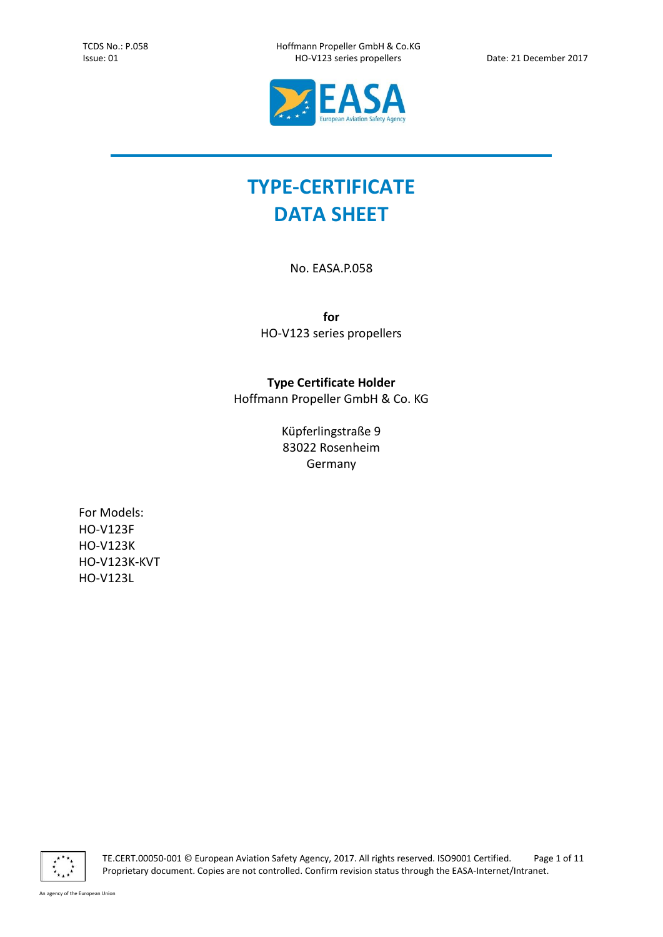TCDS No.: P.058 **Hoffmann Propeller GmbH & Co.KG** Issue: 01 HO-V123 series propellers Date: 21 December 2017



# **TYPE-CERTIFICATE DATA SHEET**

No. EASA.P.058

**for** HO-V123 series propellers

# **Type Certificate Holder** Hoffmann Propeller GmbH & Co. KG

Küpferlingstraße 9 83022 Rosenheim Germany

For Models: HO-V123F HO-V123K HO-V123K-KVT HO-V123L



TE.CERT.00050-001 © European Aviation Safety Agency, 2017. All rights reserved. ISO9001 Certified. Page 1 of 11 Proprietary document. Copies are not controlled. Confirm revision status through the EASA-Internet/Intranet.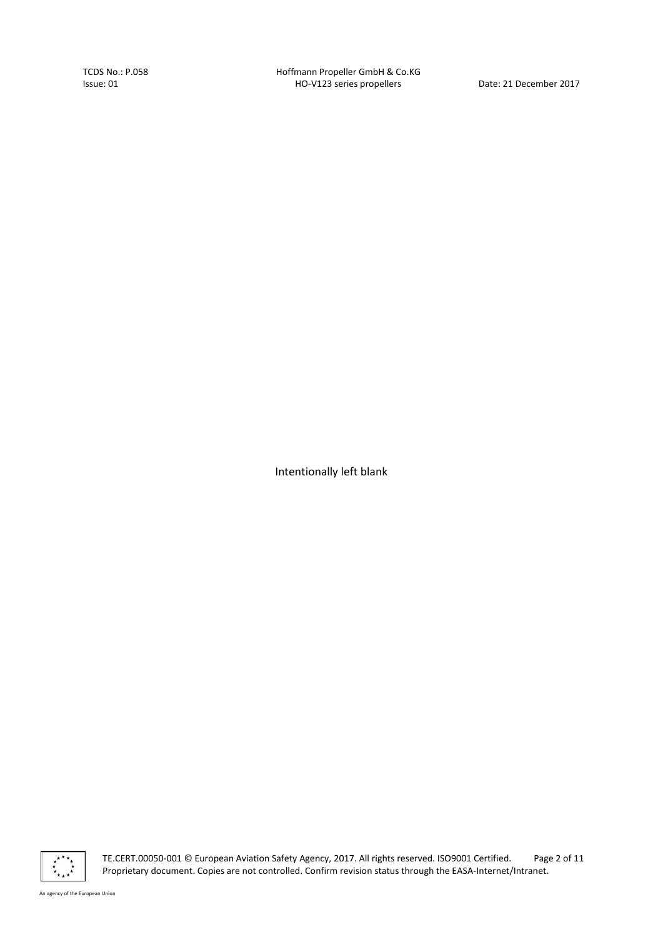Intentionally left blank



TE.CERT.00050-001 © European Aviation Safety Agency, 2017. All rights reserved. ISO9001 Certified. Page 2 of 11 Proprietary document. Copies are not controlled. Confirm revision status through the EASA-Internet/Intranet.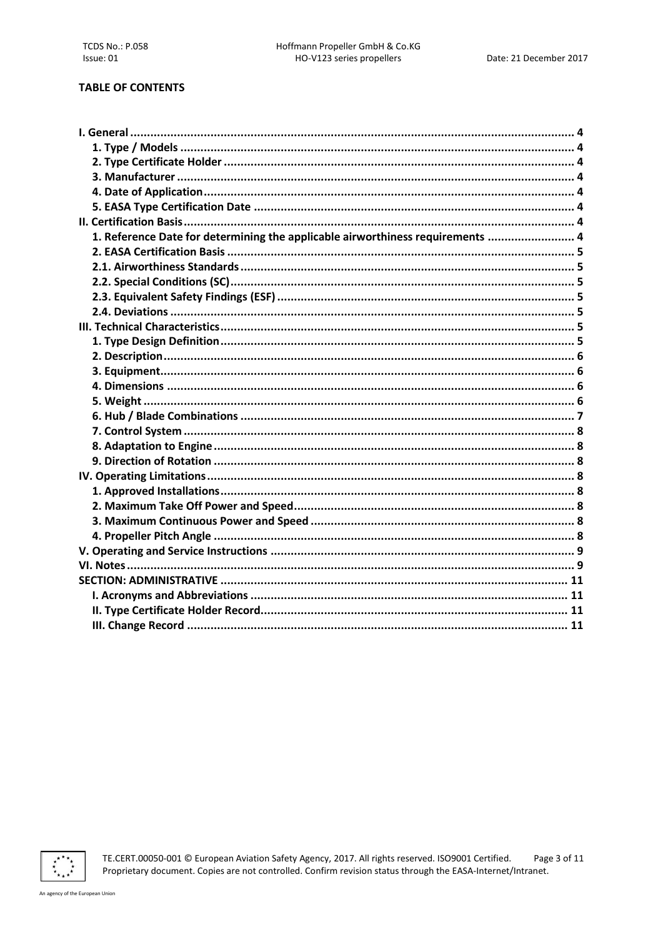# **TABLE OF CONTENTS**

| 1. Reference Date for determining the applicable airworthiness requirements  4 |  |
|--------------------------------------------------------------------------------|--|
|                                                                                |  |
|                                                                                |  |
|                                                                                |  |
|                                                                                |  |
|                                                                                |  |
|                                                                                |  |
|                                                                                |  |
|                                                                                |  |
|                                                                                |  |
|                                                                                |  |
|                                                                                |  |
|                                                                                |  |
|                                                                                |  |
|                                                                                |  |
|                                                                                |  |
|                                                                                |  |
|                                                                                |  |
|                                                                                |  |
|                                                                                |  |
|                                                                                |  |
|                                                                                |  |
|                                                                                |  |
|                                                                                |  |
|                                                                                |  |
|                                                                                |  |
|                                                                                |  |
|                                                                                |  |

<span id="page-2-0"></span>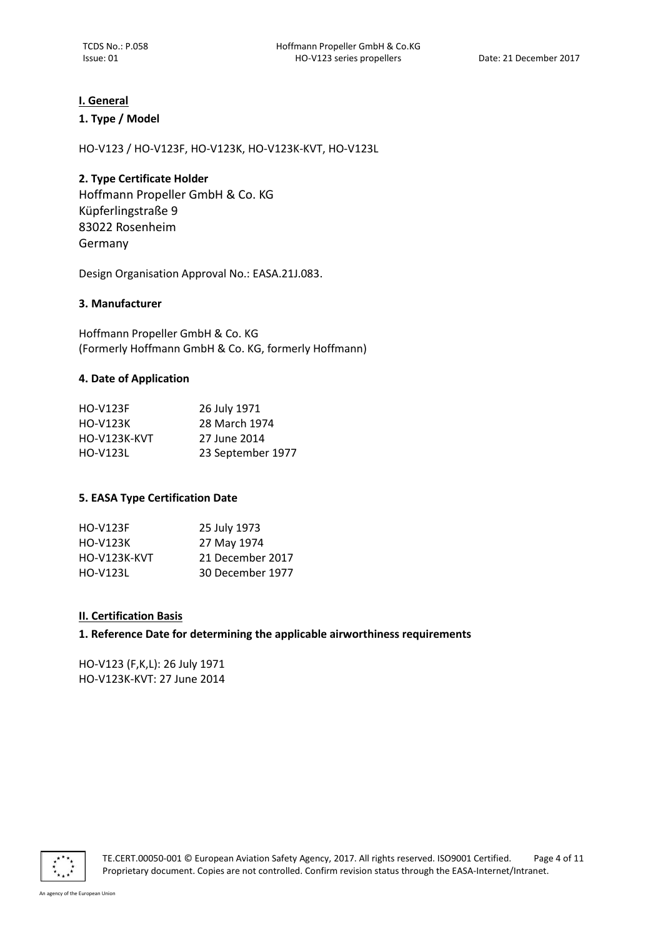## **I. General**

<span id="page-3-0"></span>**1. Type / Model**

HO-V123 / HO-V123F, HO-V123K, HO-V123K-KVT, HO-V123L

## **2. Type Certificate Holder**

Hoffmann Propeller GmbH & Co. KG Küpferlingstraße 9 83022 Rosenheim Germany

Design Organisation Approval No.: EASA.21J.083.

## <span id="page-3-1"></span>**3. Manufacturer**

Hoffmann Propeller GmbH & Co. KG (Formerly Hoffmann GmbH & Co. KG, formerly Hoffmann)

## <span id="page-3-2"></span>**4. Date of Application**

| <b>HO-V123F</b>     | 26 July 1971      |
|---------------------|-------------------|
| <b>HO-V123K</b>     | 28 March 1974     |
| <b>HO-V123K-KVT</b> | 27 June 2014      |
| <b>HO-V123L</b>     | 23 September 1977 |

## <span id="page-3-3"></span>**5. EASA Type Certification Date**

| 25 July 1973     |
|------------------|
| 27 May 1974      |
| 21 December 2017 |
| 30 December 1977 |
|                  |

## <span id="page-3-4"></span>**II. Certification Basis**

#### <span id="page-3-5"></span>**1. Reference Date for determining the applicable airworthiness requirements**

HO-V123 (F,K,L): 26 July 1971 HO-V123K-KVT: 27 June 2014



TE.CERT.00050-001 © European Aviation Safety Agency, 2017. All rights reserved. ISO9001 Certified. Page 4 of 11 Proprietary document. Copies are not controlled. Confirm revision status through the EASA-Internet/Intranet.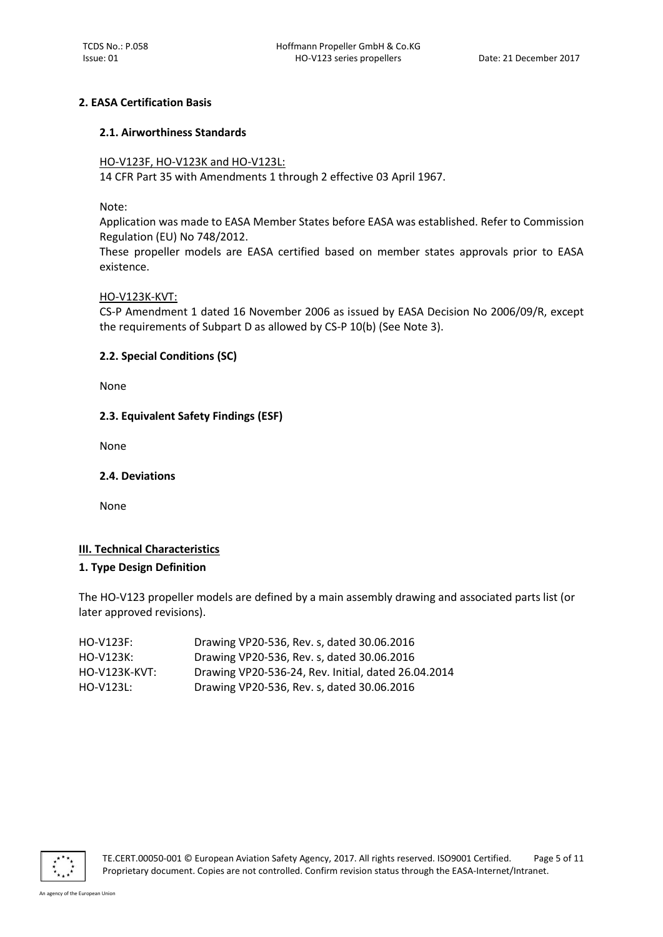## **2. EASA Certification Basis**

#### <span id="page-4-0"></span>**2.1. Airworthiness Standards**

#### HO-V123F, HO-V123K and HO-V123L:

14 CFR Part 35 with Amendments 1 through 2 effective 03 April 1967.

Note:

Application was made to EASA Member States before EASA was established. Refer to Commission Regulation (EU) No 748/2012.

These propeller models are EASA certified based on member states approvals prior to EASA existence.

#### HO-V123K-KVT:

CS-P Amendment 1 dated 16 November 2006 as issued by EASA Decision No 2006/09/R, except the requirements of Subpart D as allowed by CS-P 10(b) (See Note 3).

#### <span id="page-4-1"></span>**2.2. Special Conditions (SC)**

None

## <span id="page-4-2"></span>**2.3. Equivalent Safety Findings (ESF)**

None

## <span id="page-4-3"></span>**2.4. Deviations**

None

## <span id="page-4-4"></span>**III. Technical Characteristics**

## <span id="page-4-5"></span>**1. Type Design Definition**

The HO-V123 propeller models are defined by a main assembly drawing and associated parts list (or later approved revisions).

| HO-V123F:            | Drawing VP20-536, Rev. s, dated 30.06.2016          |
|----------------------|-----------------------------------------------------|
| HO-V123K:            | Drawing VP20-536, Rev. s, dated 30.06.2016          |
| <b>HO-V123K-KVT:</b> | Drawing VP20-536-24, Rev. Initial, dated 26.04.2014 |
| HO-V123L:            | Drawing VP20-536, Rev. s, dated 30.06.2016          |



TE.CERT.00050-001 © European Aviation Safety Agency, 2017. All rights reserved. ISO9001 Certified. Page 5 of 11 Proprietary document. Copies are not controlled. Confirm revision status through the EASA-Internet/Intranet.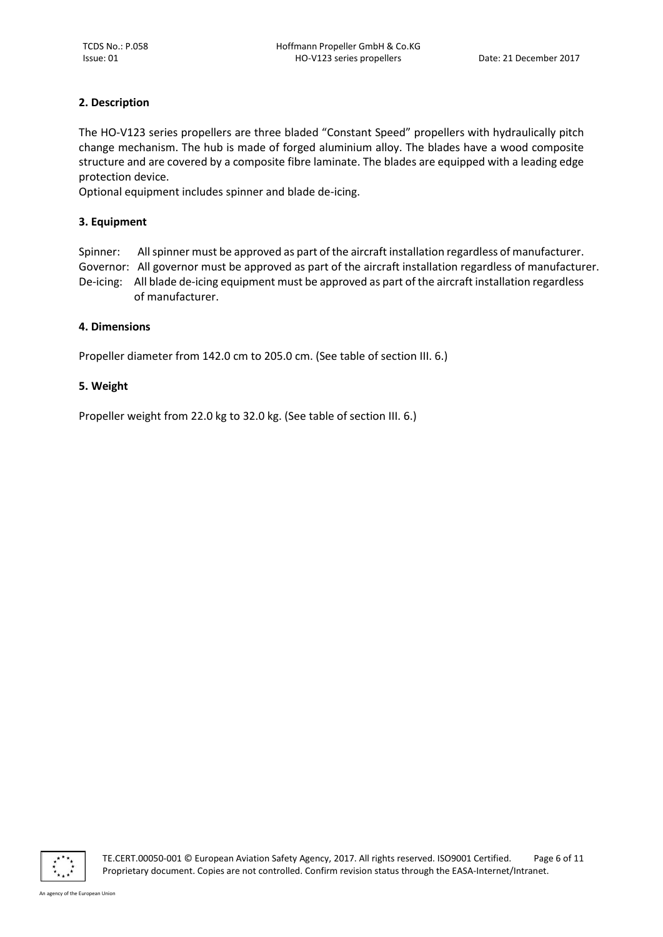## <span id="page-5-0"></span>**2. Description**

The HO-V123 series propellers are three bladed "Constant Speed" propellers with hydraulically pitch change mechanism. The hub is made of forged aluminium alloy. The blades have a wood composite structure and are covered by a composite fibre laminate. The blades are equipped with a leading edge protection device.

Optional equipment includes spinner and blade de-icing.

of manufacturer.

## <span id="page-5-1"></span>**3. Equipment**

Spinner: All spinner must be approved as part of the aircraft installation regardless of manufacturer. Governor: All governor must be approved as part of the aircraft installation regardless of manufacturer. De-icing: All blade de-icing equipment must be approved as part of the aircraft installation regardless

## <span id="page-5-2"></span>**4. Dimensions**

Propeller diameter from 142.0 cm to 205.0 cm. (See table of section III. 6.)

#### <span id="page-5-3"></span>**5. Weight**

<span id="page-5-4"></span>Propeller weight from 22.0 kg to 32.0 kg. (See table of section III. 6.)



TE.CERT.00050-001 © European Aviation Safety Agency, 2017. All rights reserved. ISO9001 Certified. Page 6 of 11 Proprietary document. Copies are not controlled. Confirm revision status through the EASA-Internet/Intranet.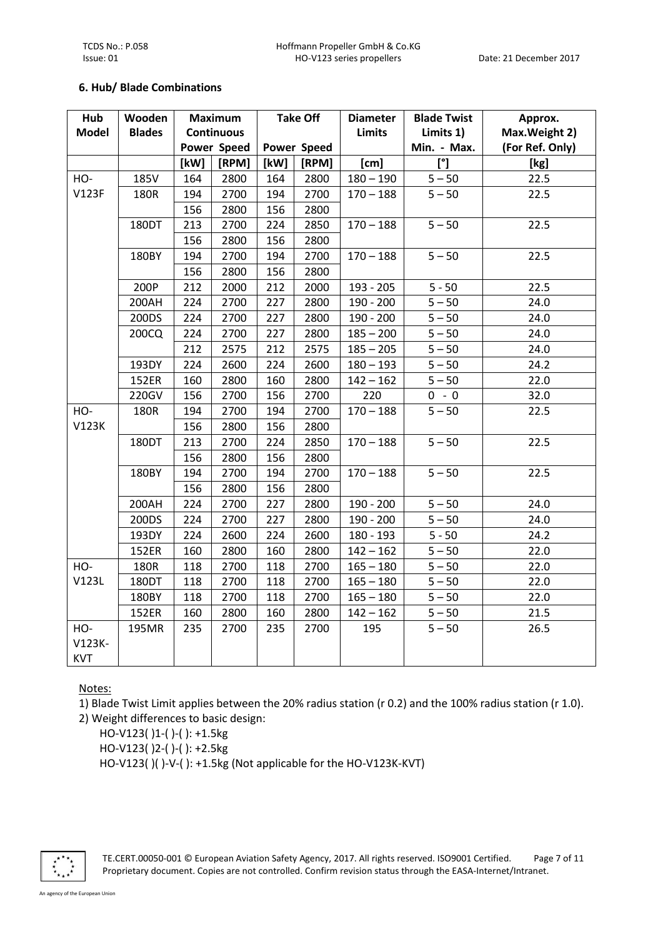#### **6. Hub/ Blade Combinations**

| Hub          | Wooden        |                   | <b>Maximum</b>     | <b>Take Off</b> |                    | <b>Diameter</b> | <b>Blade Twist</b> | Approx.         |
|--------------|---------------|-------------------|--------------------|-----------------|--------------------|-----------------|--------------------|-----------------|
| <b>Model</b> | <b>Blades</b> | <b>Continuous</b> |                    |                 |                    | <b>Limits</b>   | Limits 1)          | Max. Weight 2)  |
|              |               |                   | <b>Power Speed</b> |                 | <b>Power Speed</b> |                 | Min. - Max.        | (For Ref. Only) |
|              |               | [kW]              | [RPM]              | [kW]            | [RPM]              | [cm]            | $[^{\circ}]$       | [kg]            |
| HO-          | 185V          | 164               | 2800               | 164             | 2800               | $180 - 190$     | $5 - 50$           | 22.5            |
| V123F        | 180R          | 194               | 2700               | 194             | 2700               | $170 - 188$     | $5 - 50$           | 22.5            |
|              |               | 156               | 2800               | 156             | 2800               |                 |                    |                 |
|              | 180DT         | 213               | 2700               | 224             | 2850               | $170 - 188$     | $5 - 50$           | 22.5            |
|              |               | 156               | 2800               | 156             | 2800               |                 |                    |                 |
|              | 180BY         | 194               | 2700               | 194             | 2700               | $170 - 188$     | $5 - 50$           | 22.5            |
|              |               | 156               | 2800               | 156             | 2800               |                 |                    |                 |
|              | 200P          | 212               | 2000               | 212             | 2000               | 193 - 205       | $5 - 50$           | 22.5            |
|              | 200AH         | 224               | 2700               | 227             | 2800               | 190 - 200       | $5 - 50$           | 24.0            |
|              | 200DS         | 224               | 2700               | 227             | 2800               | 190 - 200       | $5 - 50$           | 24.0            |
|              | 200CQ         | 224               | 2700               | 227             | 2800               | $185 - 200$     | $5 - 50$           | 24.0            |
|              |               | 212               | 2575               | 212             | 2575               | $185 - 205$     | $5 - 50$           | 24.0            |
|              | 193DY         | 224               | 2600               | 224             | 2600               | $180 - 193$     | $5 - 50$           | 24.2            |
|              | 152ER         | 160               | 2800               | 160             | 2800               | $142 - 162$     | $5 - 50$           | 22.0            |
|              | 220GV         | 156               | 2700               | 156             | 2700               | 220             | $0 - 0$            | 32.0            |
| HO-          | 180R          | 194               | 2700               | 194             | 2700               | $170 - 188$     | $5 - 50$           | 22.5            |
| <b>V123K</b> |               | 156               | 2800               | 156             | 2800               |                 |                    |                 |
|              | 180DT         | 213               | 2700               | 224             | 2850               | $170 - 188$     | $5 - 50$           | 22.5            |
|              |               | 156               | 2800               | 156             | 2800               |                 |                    |                 |
|              | 180BY         | 194               | 2700               | 194             | 2700               | $170 - 188$     | $5 - 50$           | 22.5            |
|              |               | 156               | 2800               | 156             | 2800               |                 |                    |                 |
|              | 200AH         | 224               | 2700               | 227             | 2800               | $190 - 200$     | $5 - 50$           | 24.0            |
|              | 200DS         | 224               | 2700               | 227             | 2800               | 190 - 200       | $5 - 50$           | 24.0            |
|              | 193DY         | 224               | 2600               | 224             | 2600               | 180 - 193       | $5 - 50$           | 24.2            |
|              | 152ER         | 160               | 2800               | 160             | 2800               | $142 - 162$     | $5 - 50$           | 22.0            |
| HO-          | 180R          | 118               | 2700               | 118             | 2700               | $165 - 180$     | $5 - 50$           | 22.0            |
| V123L        | 180DT         | 118               | 2700               | 118             | 2700               | $165 - 180$     | $5 - 50$           | 22.0            |
|              | 180BY         | 118               | 2700               | 118             | 2700               | $165 - 180$     | $5 - 50$           | 22.0            |
|              | 152ER         | 160               | 2800               | 160             | 2800               | $142 - 162$     | $5 - 50$           | 21.5            |
| HO-          | 195MR         | 235               | 2700               | 235             | 2700               | 195             | $5 - 50$           | 26.5            |
| V123K-       |               |                   |                    |                 |                    |                 |                    |                 |
| <b>KVT</b>   |               |                   |                    |                 |                    |                 |                    |                 |

## Notes:

1) Blade Twist Limit applies between the 20% radius station (r 0.2) and the 100% radius station (r 1.0).

2) Weight differences to basic design:

HO-V123( )1-( )-( ): +1.5kg HO-V123( )2-( )-( ): +2.5kg HO-V123( )( )-V-( ): +1.5kg (Not applicable for the HO-V123K-KVT)



TE.CERT.00050-001 © European Aviation Safety Agency, 2017. All rights reserved. ISO9001 Certified. Page 7 of 11 Proprietary document. Copies are not controlled. Confirm revision status through the EASA-Internet/Intranet.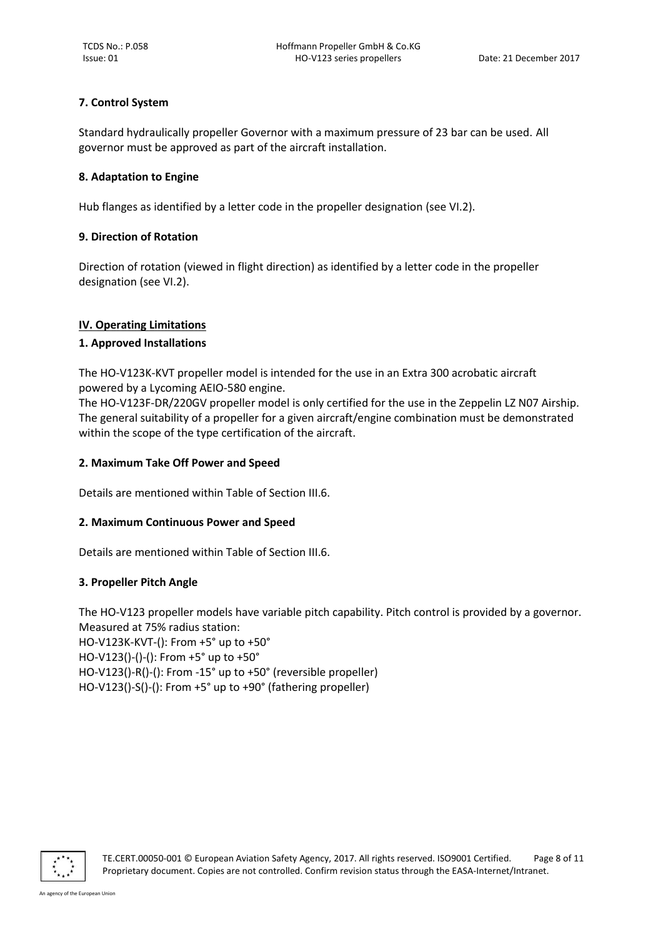## <span id="page-7-0"></span>**7. Control System**

Standard hydraulically propeller Governor with a maximum pressure of 23 bar can be used. All governor must be approved as part of the aircraft installation.

## <span id="page-7-1"></span>**8. Adaptation to Engine**

Hub flanges as identified by a letter code in the propeller designation (see VI.2).

## <span id="page-7-2"></span>**9. Direction of Rotation**

Direction of rotation (viewed in flight direction) as identified by a letter code in the propeller designation (see VI.2).

#### <span id="page-7-3"></span>**IV. Operating Limitations**

#### <span id="page-7-4"></span>**1. Approved Installations**

The HO-V123K-KVT propeller model is intended for the use in an Extra 300 acrobatic aircraft powered by a Lycoming AEIO-580 engine.

The HO-V123F-DR/220GV propeller model is only certified for the use in the Zeppelin LZ N07 Airship. The general suitability of a propeller for a given aircraft/engine combination must be demonstrated within the scope of the type certification of the aircraft.

#### **2. Maximum Take Off Power and Speed**

Details are mentioned within Table of Section III.6.

#### <span id="page-7-5"></span>**2. Maximum Continuous Power and Speed**

Details are mentioned within Table of Section III.6.

## <span id="page-7-6"></span>**3. Propeller Pitch Angle**

The HO-V123 propeller models have variable pitch capability. Pitch control is provided by a governor. Measured at 75% radius station: HO-V123K-KVT-(): From +5° up to +50° HO-V123()-()-(): From +5° up to +50° HO-V123()-R()-(): From -15° up to +50° (reversible propeller) HO-V123()-S()-(): From +5° up to +90° (fathering propeller)

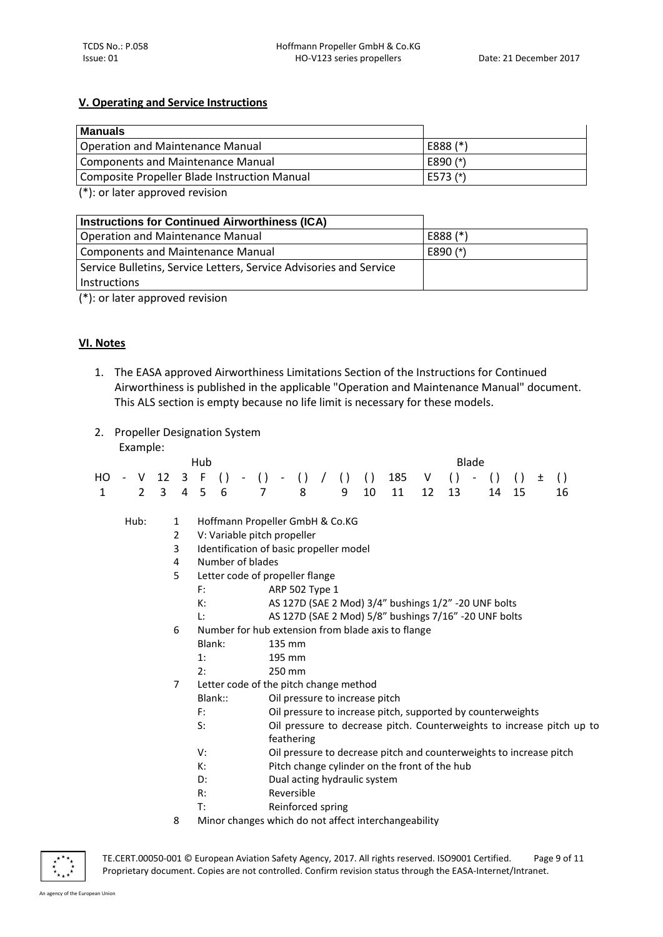## <span id="page-8-0"></span>**V. Operating and Service Instructions**

| <b>Manuals</b>                               |            |
|----------------------------------------------|------------|
| Operation and Maintenance Manual             | E888 (*)   |
| Components and Maintenance Manual            | E890 (*)   |
| Composite Propeller Blade Instruction Manual | E573 $(*)$ |

(\*): or later approved revision

| <b>Instructions for Continued Airworthiness (ICA)</b>              |          |
|--------------------------------------------------------------------|----------|
| <b>Operation and Maintenance Manual</b>                            | E888 (*) |
| <b>Components and Maintenance Manual</b>                           | E890 (*) |
| Service Bulletins, Service Letters, Service Advisories and Service |          |
| <b>Instructions</b>                                                |          |

(\*): or later approved revision

## <span id="page-8-1"></span>**VI. Notes**

- 1. The EASA approved Airworthiness Limitations Section of the Instructions for Continued Airworthiness is published in the applicable "Operation and Maintenance Manual" document. This ALS section is empty because no life limit is necessary for these models.
- 2. Propeller Designation System

| Example: |
|----------|
|----------|

|    |      |    |                | Hub          |                  |   |        |                                 |                                         |                                |                                                                        |    |                  | <b>Blade</b> |    |                    |   |                    |  |
|----|------|----|----------------|--------------|------------------|---|--------|---------------------------------|-----------------------------------------|--------------------------------|------------------------------------------------------------------------|----|------------------|--------------|----|--------------------|---|--------------------|--|
| HО | V    | 12 | 3              | $\mathsf{F}$ | $\left( \right)$ |   |        | $\left( \ \right)$              | $\left( \ \right)$                      | $\left( \ \right)$             | 185                                                                    | V  | $\left( \right)$ |              |    | $\left( \ \right)$ | ± | $\left( \ \right)$ |  |
| 1  | 2    | 3  | 4              | 5            | 6                | 7 |        | 8                               | 9                                       | 10                             | 11                                                                     | 12 | 13               |              | 14 | 15                 |   | 16                 |  |
|    | Hub: |    | $\mathbf{1}$   |              |                  |   |        |                                 |                                         |                                |                                                                        |    |                  |              |    |                    |   |                    |  |
|    |      |    | 2              |              |                  |   |        | V: Variable pitch propeller     | Hoffmann Propeller GmbH & Co.KG         |                                |                                                                        |    |                  |              |    |                    |   |                    |  |
|    |      |    | 3              |              |                  |   |        |                                 |                                         |                                |                                                                        |    |                  |              |    |                    |   |                    |  |
|    |      |    |                |              |                  |   |        |                                 | Identification of basic propeller model |                                |                                                                        |    |                  |              |    |                    |   |                    |  |
|    |      |    | 4              |              | Number of blades |   |        |                                 |                                         |                                |                                                                        |    |                  |              |    |                    |   |                    |  |
|    |      |    | 5              |              |                  |   |        | Letter code of propeller flange |                                         |                                |                                                                        |    |                  |              |    |                    |   |                    |  |
|    |      |    |                | F:           |                  |   |        | <b>ARP 502 Type 1</b>           |                                         |                                |                                                                        |    |                  |              |    |                    |   |                    |  |
|    |      |    |                | К:           |                  |   |        |                                 |                                         |                                | AS 127D (SAE 2 Mod) 3/4" bushings 1/2" -20 UNF bolts                   |    |                  |              |    |                    |   |                    |  |
|    |      |    |                | Ŀ.           |                  |   |        |                                 |                                         |                                | AS 127D (SAE 2 Mod) 5/8" bushings 7/16" -20 UNF bolts                  |    |                  |              |    |                    |   |                    |  |
|    |      |    | 6              |              |                  |   |        |                                 |                                         |                                | Number for hub extension from blade axis to flange                     |    |                  |              |    |                    |   |                    |  |
|    |      |    |                | Blank:       |                  |   | 135 mm |                                 |                                         |                                |                                                                        |    |                  |              |    |                    |   |                    |  |
|    |      |    |                | 1:           |                  |   | 195 mm |                                 |                                         |                                |                                                                        |    |                  |              |    |                    |   |                    |  |
|    |      |    |                | 2:           |                  |   | 250 mm |                                 |                                         |                                |                                                                        |    |                  |              |    |                    |   |                    |  |
|    |      |    | $\overline{7}$ |              |                  |   |        |                                 | Letter code of the pitch change method  |                                |                                                                        |    |                  |              |    |                    |   |                    |  |
|    |      |    |                |              | Blank::          |   |        |                                 |                                         | Oil pressure to increase pitch |                                                                        |    |                  |              |    |                    |   |                    |  |
|    |      |    |                | F:           |                  |   |        |                                 |                                         |                                | Oil pressure to increase pitch, supported by counterweights            |    |                  |              |    |                    |   |                    |  |
|    |      |    |                | S:           |                  |   |        |                                 |                                         |                                | Oil pressure to decrease pitch. Counterweights to increase pitch up to |    |                  |              |    |                    |   |                    |  |
|    |      |    |                |              |                  |   |        | feathering                      |                                         |                                |                                                                        |    |                  |              |    |                    |   |                    |  |
|    |      |    |                | V:           |                  |   |        |                                 |                                         |                                | Oil pressure to decrease pitch and counterweights to increase pitch    |    |                  |              |    |                    |   |                    |  |
|    |      |    |                | К:           |                  |   |        |                                 |                                         |                                | Pitch change cylinder on the front of the hub                          |    |                  |              |    |                    |   |                    |  |
|    |      |    |                | D:           |                  |   |        |                                 |                                         | Dual acting hydraulic system   |                                                                        |    |                  |              |    |                    |   |                    |  |
|    |      |    |                | R:           |                  |   |        | Reversible                      |                                         |                                |                                                                        |    |                  |              |    |                    |   |                    |  |
|    |      |    |                | T:           |                  |   |        | Reinforced spring               |                                         |                                |                                                                        |    |                  |              |    |                    |   |                    |  |
|    |      |    | 8              |              |                  |   |        |                                 |                                         |                                | Minor changes which do not affect interchangeability                   |    |                  |              |    |                    |   |                    |  |
|    |      |    |                |              |                  |   |        |                                 |                                         |                                |                                                                        |    |                  |              |    |                    |   |                    |  |



TE.CERT.00050-001 © European Aviation Safety Agency, 2017. All rights reserved. ISO9001 Certified. Page 9 of 11 Proprietary document. Copies are not controlled. Confirm revision status through the EASA-Internet/Intranet.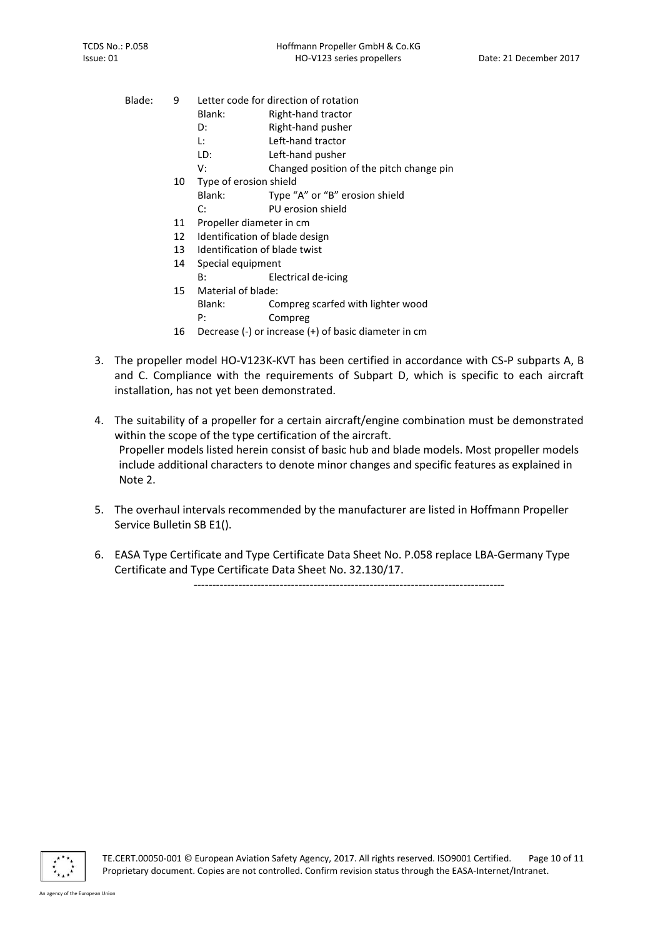| Blade: | 9  |                               | Letter code for direction of rotation    |
|--------|----|-------------------------------|------------------------------------------|
|        |    | Blank:                        | Right-hand tractor                       |
|        |    | D:                            | Right-hand pusher                        |
|        |    | Ŀ.                            | Left-hand tractor                        |
|        |    | LD:                           | Left-hand pusher                         |
|        |    | V:                            | Changed position of the pitch change pin |
|        | 10 | Type of erosion shield        |                                          |
|        |    | Blank:                        | Type "A" or "B" erosion shield           |
|        |    | C:                            | PU erosion shield                        |
|        | 11 | Propeller diameter in cm      |                                          |
|        | 12 |                               | Identification of blade design           |
|        | 13 | Identification of blade twist |                                          |
|        | 14 | Special equipment             |                                          |
|        |    | B:                            | Electrical de-icing                      |
|        | 15 | Material of blade:            |                                          |
|        |    | Blank:                        | Compreg scarfed with lighter wood        |
|        |    | P:                            | Compreg                                  |

- 16 Decrease (-) or increase (+) of basic diameter in cm
- 3. The propeller model HO-V123K-KVT has been certified in accordance with CS-P subparts A, B and C. Compliance with the requirements of Subpart D, which is specific to each aircraft installation, has not yet been demonstrated.
- 4. The suitability of a propeller for a certain aircraft/engine combination must be demonstrated within the scope of the type certification of the aircraft. Propeller models listed herein consist of basic hub and blade models. Most propeller models include additional characters to denote minor changes and specific features as explained in Note 2.
- 5. The overhaul intervals recommended by the manufacturer are listed in Hoffmann Propeller Service Bulletin SB E1().
- 6. EASA Type Certificate and Type Certificate Data Sheet No. P.058 replace LBA-Germany Type Certificate and Type Certificate Data Sheet No. 32.130/17.

-----------------------------------------------------------------------------------

TE.CERT.00050-001 © European Aviation Safety Agency, 2017. All rights reserved. ISO9001 Certified. Page 10 of 11 Proprietary document. Copies are not controlled. Confirm revision status through the EASA-Internet/Intranet.